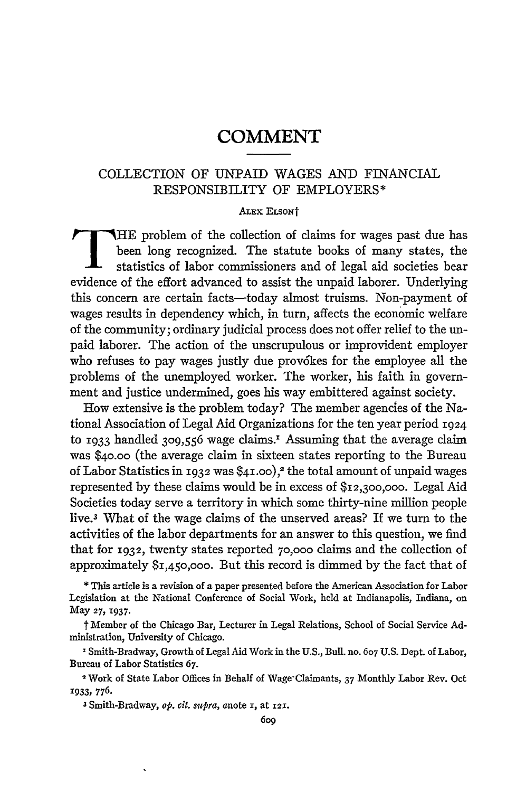## **COMMENT**

## COLLECTION OF UNPAID WAGES **AND** FINANCIAL RESPONSIBILITY OF EMPLOYERS\*

## **ALEx** ELSONt

HE problem of the collection of claims for wages past due has been long recognized. The statute books of many states, the statistics of labor commissioners and of legal aid societies bear evidence of the effort advanced to assist the unpaid laborer. Underlying this concern are certain facts-today almost truisms. Non-payment of wages results in dependency which, in turn, affects the economic welfare of the community; ordinary judicial process does not offer relief to the unpaid laborer. The action of the unscrupulous or improvident employer who refuses to pay wages justly due provokes for the employee all the problems of the unemployed worker. The worker, his faith in government and justice undermined, goes his way embittered against society.

How extensive is the problem today? The member agencies of the National Association of Legal Aid Organizations for the ten year period 1924 to 1933 handled 309,556 wage claims.<sup>1</sup> Assuming that the average claim was \$4o.oo (the average claim in sixteen states reporting to the Bureau of Labor Statistics in **1932** was **\$41.00),2** the total amount of unpaid wages represented by these claims would be in excess of \$I2,3oo,ooo. Legal Aid Societies today serve a territory in which some thirty-nine million people live.<sup>3</sup> What of the wage claims of the unserved areas? If we turn to the activities of the labor departments for an answer to this question, we find that for **1932,** twenty states reported **70,000** claims and the collection of approximately \$I,450,00o. But this record is dimmed by the fact that of

t Member of the Chicago Bar, Lecturer in Legal Relations, School of Social Service Administration, University of Chicago.

<sup>1</sup> Smith-Bradway, Growth of Legal Aid Work in the U.S., Bull. no. 607 U.S. Dept. of Labor, Bureau of Labor Statistics **67.**

Work **of** State Labor Offices in Behalf of Wage'Claimants, 37 Monthly Labor Rev. Oct **1933,** 776.

3Smith-Bradway, *op. cit. supra,* anote **i,** at **121.**

**<sup>\*</sup>** This article is a revision of a paper presented before the American Association for Labor Legislation at the National Conference of Social Work, held at Indianapolis, Indiana, on May **27, 1937.**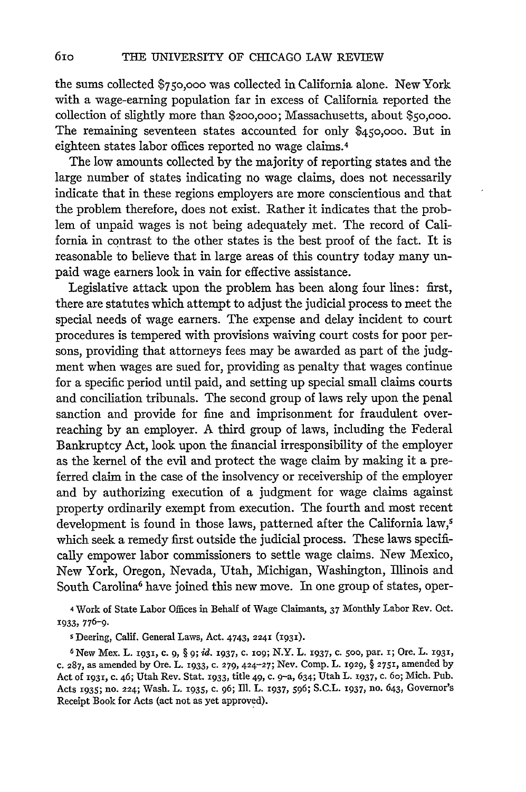the sums collected **\$750,000** was collected in California alone. New York with a wage-earning population far in excess of California reported the collection of slightly more than **\$200,000;** Massachusetts, about **\$5o,00o.** The remaining seventeen states accounted for only **\$450,000.** But in eighteen states labor offices reported no wage claims. <sup>4</sup>

The low amounts collected by the majority of reporting states and the large number of states indicating no wage claims, does not necessarily indicate that in these regions employers are more conscientious and that the problem therefore, does not exist. Rather it indicates that the problem of unpaid wages is not being adequately met. The record of California in contrast to the other states is the best proof of the fact. It is reasonable to believe that in large areas of this country today many unpaid wage earners look in vain for effective assistance.

Legislative attack upon the problem has been along four lines: first, there are statutes which attempt to adjust the judicial process to meet the special needs of wage earners. The expense and delay incident to court procedures is tempered with provisions waiving court costs for poor persons, providing that attorneys fees may be awarded as part of the judgment when wages are sued for, providing as penalty that wages continue for a specific period until paid, and setting up special small claims courts and conciliation tribunals. The second group of laws rely upon the penal sanction and provide for fine and imprisonment for fraudulent overreaching by an employer. A third group of laws, including the Federal Bankruptcy Act, look upon the financial irresponsibility of the employer as the kernel of the evil and protect the wage claim by making it a preferred claim in the case of the insolvency or receivership of the employer and by authorizing execution of a judgment for wage claims against property ordinarily exempt from execution. The fourth and most recent development is found in those laws, patterned after the California law,<sup>5</sup> which seek a remedy first outside the judicial process. These laws specifically empower labor commissioners to settle wage claims. New Mexico, New York, Oregon, Nevada, Utah, Michigan, Washington, Illinois and South Carolina<sup>6</sup> have joined this new move. In one group of states, oper-

**<sup>4</sup>**Work of State Labor Offices in Behalf of Wage Claimants, 37 Monthly Labor Rev. Oct. **1933, 776-9.**

**5** Deering, Calif. General Laws, Act. 4743, 2241 **(1931).**

6MNew Mex. L. 193x, c. **9,** § o; id. 1937, c. iog; N.Y. L. I937, c. **500,** par. i; Ore. L. **X931,** c. 287, as amended by Ore. L. **1933,** c. **279,** 424-27; Nev. Comp. L. 1929, § 2751, amended by Act of **1931,** c. 46; Utah Rev. Stat. x933, title 49, c. 9-a, 634; Utah L. **1937,** c. 6o; Mich. Pub. Acts x935; no. 224; Wash. L. 1935, c. 96; ll. L. 1937, **596;** S.C.L. 1937, no. 643, Governor's Receipt Book for Acts (act not as yet approved).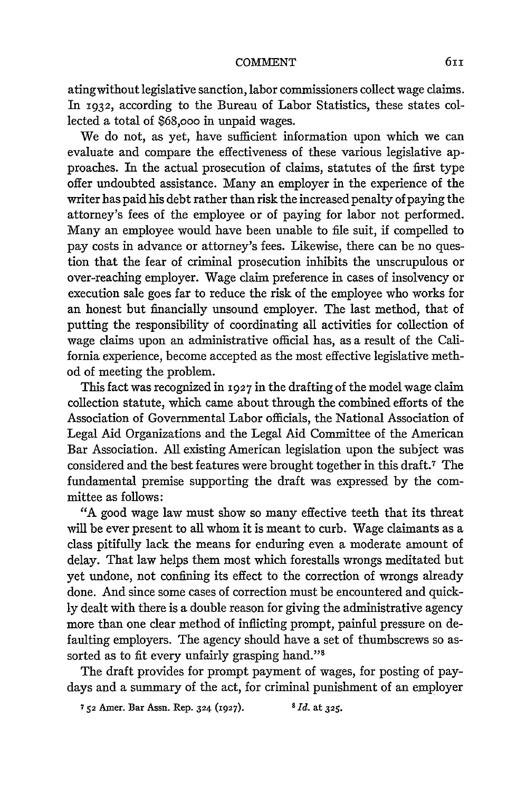## COMMENT

atingwithout legislative sanction, labor commissioners collect wage claims. In **1932,** according to the Bureau of Labor Statistics, these states collected a total of \$68,ooo in unpaid wages.

We do not, as yet, have sufficient information upon which we can evaluate and compare the effectiveness of these various legislative approaches. In the actual prosecution of claims, statutes of the first type offer undoubted assistance. Many an employer in the experience of the writer has paid his debt rather than risk the increased penalty of paying the attorney's fees of the employee or of paying for labor not performed. Many an employee would have been unable to file suit, if compelled to pay costs in advance or attorney's fees. Likewise, there can be no question that the fear of criminal prosecution inhibits the unscrupulous or over-reaching employer. Wage claim preference in cases of insolvency or execution sale goes far to reduce the risk of the employee who works for an honest but financially unsound employer. The last method, that of putting the responsibility of coordinating all activities for collection of wage claims upon an administrative official has, as a result of the California experience, become accepted as the most effective legislative method of meeting the problem.

This fact was recognized in **1927** in the drafting of the model wage claim collection statute, which came about through the combined efforts of the Association of Governmental Labor officials, the National Association of Legal Aid Organizations and the Legal Aid Committee of the American Bar Association. All existing American legislation upon the subject was considered and the best features were brought together in this draft.7 The fundamental premise supporting the draft was expressed by the committee as follows:

"A good wage law must show so many effective teeth that its threat will be ever present to all whom it is meant to curb. Wage claimants as a class pitifully lack the means for enduring even a moderate amount of delay. That law helps them most which forestalls wrongs meditated but yet undone, not confining its effect to the correction of wrongs already done. And since some cases of correction must be encountered and quickly dealt with there is a double reason for giving the administrative agency more than one clear method of inflicting prompt, painful pressure on defaulting employers. The agency should have a set of thumbscrews so assorted as to fit every unfairly grasping hand."'8

The draft provides for prompt payment of wages, for posting of paydays and a summary of the act, for criminal punishment of an employer

**752** Amer. Bar Assn. Rep. 324 (1927). *<sup>8</sup>Id.* at **325.**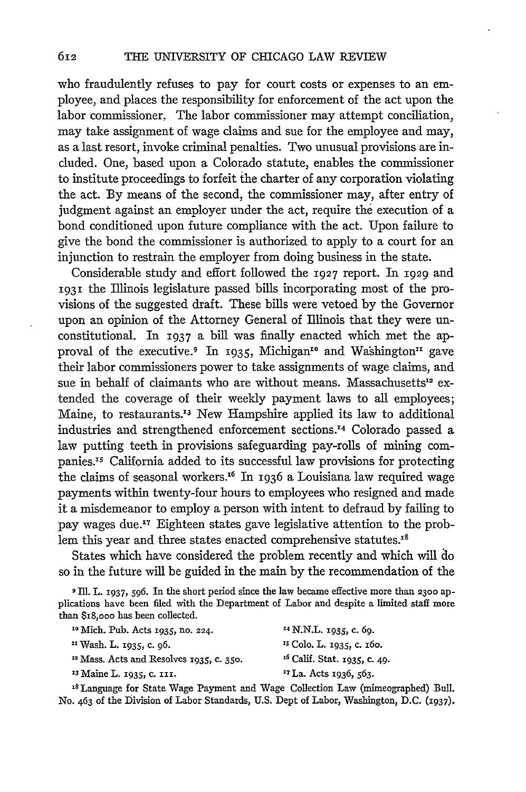who fraudulently refuses to pay for court costs or expenses to an employee, and places the responsibility for enforcement of the act upon the labor commissioner. The labor commissioner may attempt conciliation, may take assignment of wage claims and sue for the employee and may, as a last resort, invoke criminal penalties. Two unusual provisions are included. One, based upon a Colorado statute, enables the commissioner to institute proceedings to forfeit the charter of any corporation violating the act. By means of the second, the commissioner may, after entry of judgment against an employer under the act, require the execution of a bond conditioned upon future compliance with the act. Upon failure to give the bond the commissioner is authorized to apply to a court for an injunction to restrain the employer from doing business in the state.

Considerable study and effort followed the 1927 report. In 1929 and 1931 the Illinois legislature passed bills incorporating most of the provisions of the suggested draft. These bills were vetoed by the Governor upon an opinion of the Attorney General of Illinois that they were unconstitutional. In **1937** a bill was finally enacted which met the approval of the executive.<sup>9</sup> In 1935, Michigan<sup>10</sup> and Washington<sup>11</sup> gave their labor commissioners power to take assignments of wage claims, and sue in behalf of claimants who are without means. Massachusetts<sup>12</sup> extended the coverage of their weekly payment laws to all employees; Maine, to restaurants.<sup>13</sup> New Hampshire applied its law to additional industries and strengthened enforcement sections. 4 Colorado passed a law putting teeth in provisions safeguarding pay-rolls of mining companies.<sup>15</sup> California added to its successful law provisions for protecting the claims of seasonal workers." In 1936 a Louisiana law required wage payments within twenty-four hours to employees who resigned and made it a misdemeanor to employ a person with intent to defraud by failing to pay wages due.<sup>17</sup> Eighteen states gave legislative attention to the problem this year and three states enacted comprehensive statutes.<sup>18</sup>

States which have considered the problem recently and which will do so in the future will be guided in the main by the recommendation of the

**9** Ill. **L.** 1937, **596.** In the short period since the law became effective more than **230o** applications have been filed with the Department of Labor and despite a limited staff more than \$r8,ooo has been collected.

| <sup>10</sup> Mich. Pub. Acts 1935, no. 224. | <sup>14</sup> N.N.L. 1935, c. 69.       |
|----------------------------------------------|-----------------------------------------|
| <sup>11</sup> Wash. L. 1935, c. 96.          | <sup>15</sup> Colo. L. 1935, c. 160.    |
| $12$ Mass. Acts and Resolves 1935, c. 350.   | <sup>16</sup> Calif. Stat. 1935, c. 49. |
| <sup>13</sup> Maine L. 1935, c. 111.         | <sup>17</sup> La. Acts 1936, 563.       |
| $\sim$ 0.000 $\sim$<br>.                     | _ _ _                                   |

**<sup>18</sup>**Language for State Wage Payment and Wage Collection Law (mimeographed) Bull. No. 463 of the Division of Labor Standards, U.S. Dept of Labor, Washington, D.C. **(1937).**

612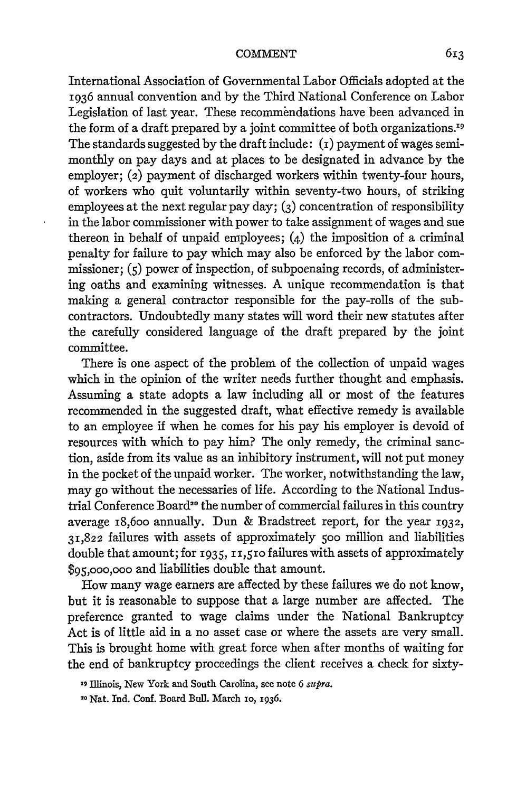International Association of Governmental Labor Officials adopted at the 1936 annual convention and by the Third National Conference on Labor Legislation of last year. These recommendations have been advanced in the form of a draft prepared by a joint committee of both organizations.<sup>19</sup> The standards suggested by the draft include:  $(i)$  payment of wages semimonthly on pay days and at places to be designated in advance by the employer; (2) payment of discharged workers within twenty-four hours, of workers who quit voluntarily within seventy-two hours, of striking employees at the next regular pay day; **(3)** concentration of responsibility in the labor commissioner with power to take assignment of wages and sue thereon in behalf of unpaid employees;  $(4)$  the imposition of a criminal penalty for failure to pay which may also be enforced by the labor commissioner; (5) power of inspection, of subpoenaing records, of administering oaths and examining witnesses. A unique recommendation is that making a general contractor responsible for the pay-rolls of the subcontractors. Undoubtedly many states will word their new statutes after the carefully considered language of the draft prepared by the joint committee.

There is one aspect of the problem of the collection of unpaid wages which in the opinion of the writer needs further thought and emphasis. Assuming a state adopts a law including all or most of the features recommended in the suggested draft, what effective remedy is available to an employee if when he comes for his pay his employer is devoid of resources with which to pay him? The only remedy, the criminal sanction, aside from its value as an inhibitory instrument, will not put money in the pocket of the unpaid worker. The worker, notwithstanding the law, may go without the necessaries of life. According to the National Industrial Conference Board<sup>20</sup> the number of commercial failures in this country average i8,6oo annually. Dun & Bradstreet report, for the year **1932,** 31,822 failures with assets of approximately **5oo** million and liabilities double that amount; for 1935, i1,51o failures with assets of approximately **\$95,000,000** and liabilities double that amount.

How many wage earners are affected by these failures we do not know, but it is reasonable to suppose that a large number are affected. The preference granted to wage claims under the National Bankruptcy Act is of little aid in a no asset case or where the assets are very small. This is brought home with great force when after months of waiting for the end of bankruptcy proceedings the client receives a check for sixty-

**<sup>19</sup> Illinois,** New York and South Carolina, **see** note **6** *supra.*

**<sup>20</sup>** Nat. Ind. Conf. Board Bull. March **io, 1936.**